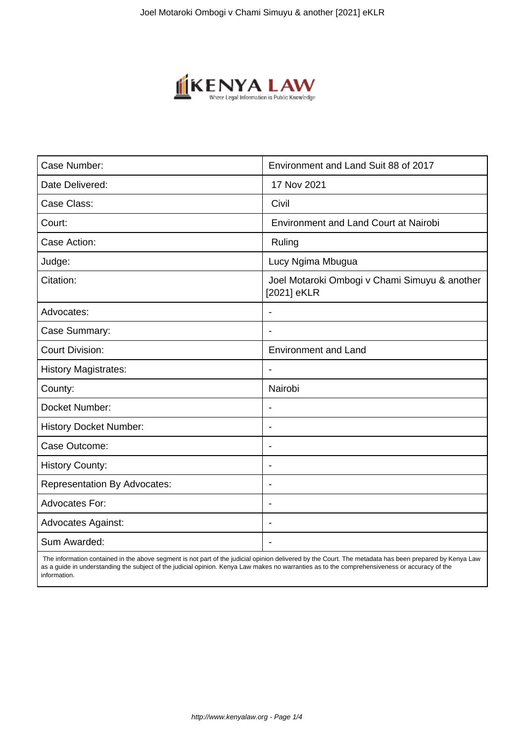

| Case Number:                        | Environment and Land Suit 88 of 2017                         |
|-------------------------------------|--------------------------------------------------------------|
| Date Delivered:                     | 17 Nov 2021                                                  |
| Case Class:                         | Civil                                                        |
| Court:                              | <b>Environment and Land Court at Nairobi</b>                 |
| Case Action:                        | Ruling                                                       |
| Judge:                              | Lucy Ngima Mbugua                                            |
| Citation:                           | Joel Motaroki Ombogi v Chami Simuyu & another<br>[2021] eKLR |
| Advocates:                          |                                                              |
| Case Summary:                       |                                                              |
| <b>Court Division:</b>              | <b>Environment and Land</b>                                  |
| <b>History Magistrates:</b>         | $\overline{\phantom{a}}$                                     |
| County:                             | Nairobi                                                      |
| Docket Number:                      |                                                              |
| <b>History Docket Number:</b>       | $\blacksquare$                                               |
| Case Outcome:                       | $\overline{\phantom{0}}$                                     |
| <b>History County:</b>              | $\overline{\phantom{a}}$                                     |
| <b>Representation By Advocates:</b> | $\blacksquare$                                               |
| <b>Advocates For:</b>               | $\overline{\phantom{0}}$                                     |
| <b>Advocates Against:</b>           |                                                              |
| Sum Awarded:                        |                                                              |

 The information contained in the above segment is not part of the judicial opinion delivered by the Court. The metadata has been prepared by Kenya Law as a guide in understanding the subject of the judicial opinion. Kenya Law makes no warranties as to the comprehensiveness or accuracy of the information.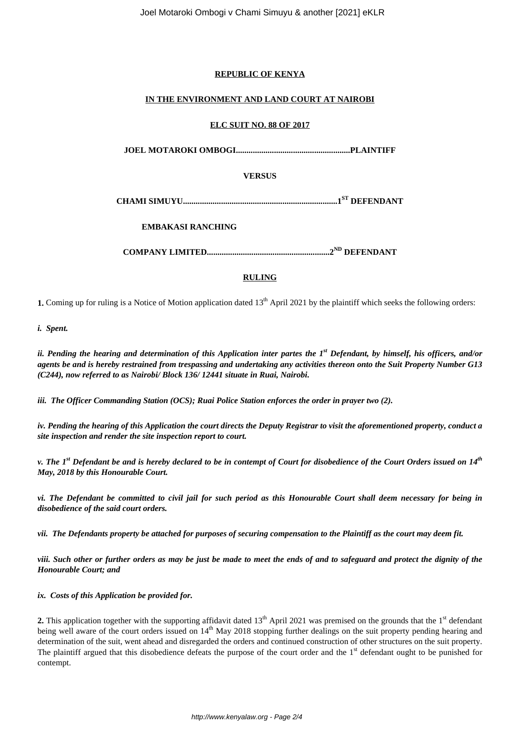# **REPUBLIC OF KENYA**

# **IN THE ENVIRONMENT AND LAND COURT AT NAIROBI**

#### **ELC SUIT NO. 88 OF 2017**

**JOEL MOTAROKI OMBOGI......................................................PLAINTIFF**

**VERSUS**

**CHAMI SIMUYU.........................................................................1 ST DEFENDANT**

**EMBAKASI RANCHING**

**COMPANY LIMITED..........................................................2 ND DEFENDANT**

# **RULING**

**1.** Coming up for ruling is a Notice of Motion application dated 13<sup>th</sup> April 2021 by the plaintiff which seeks the following orders:

*i. Spent.*

*ii. Pending the hearing and determination of this Application inter partes the 1st Defendant, by himself, his officers, and/or agents be and is hereby restrained from trespassing and undertaking any activities thereon onto the Suit Property Number G13 (C244), now referred to as Nairobi/ Block 136/ 12441 situate in Ruai, Nairobi.* 

*iii. The Officer Commanding Station (OCS); Ruai Police Station enforces the order in prayer two (2).*

*iv. Pending the hearing of this Application the court directs the Deputy Registrar to visit the aforementioned property, conduct a site inspection and render the site inspection report to court.*

*v. The 1st Defendant be and is hereby declared to be in contempt of Court for disobedience of the Court Orders issued on 14th May, 2018 by this Honourable Court.*

*vi. The Defendant be committed to civil jail for such period as this Honourable Court shall deem necessary for being in disobedience of the said court orders.*

*vii. The Defendants property be attached for purposes of securing compensation to the Plaintiff as the court may deem fit.*

*viii. Such other or further orders as may be just be made to meet the ends of and to safeguard and protect the dignity of the Honourable Court; and* 

*ix. Costs of this Application be provided for.*

**2.** This application together with the supporting affidavit dated  $13<sup>th</sup>$  April 2021 was premised on the grounds that the  $1<sup>st</sup>$  defendant being well aware of the court orders issued on 14<sup>th</sup> May 2018 stopping further dealings on the suit property pending hearing and determination of the suit, went ahead and disregarded the orders and continued construction of other structures on the suit property. The plaintiff argued that this disobedience defeats the purpose of the court order and the  $1<sup>st</sup>$  defendant ought to be punished for contempt.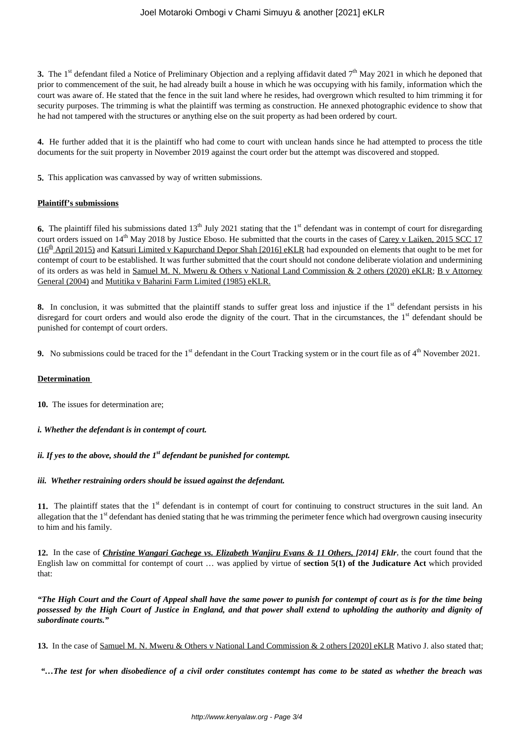**3.** The 1<sup>st</sup> defendant filed a Notice of Preliminary Objection and a replying affidavit dated  $7<sup>th</sup>$  May 2021 in which he deponed that prior to commencement of the suit, he had already built a house in which he was occupying with his family, information which the court was aware of. He stated that the fence in the suit land where he resides, had overgrown which resulted to him trimming it for security purposes. The trimming is what the plaintiff was terming as construction. He annexed photographic evidence to show that he had not tampered with the structures or anything else on the suit property as had been ordered by court.

**4.** He further added that it is the plaintiff who had come to court with unclean hands since he had attempted to process the title documents for the suit property in November 2019 against the court order but the attempt was discovered and stopped.

**5.** This application was canvassed by way of written submissions.

#### **Plaintiff's submissions**

**6.** The plaintiff filed his submissions dated  $13<sup>th</sup>$  July 2021 stating that the  $1<sup>st</sup>$  defendant was in contempt of court for disregarding court orders issued on 14<sup>th</sup> May 2018 by Justice Eboso. He submitted that the courts in the cases of Carey v Laiken, 2015 SCC 17 (16<sup>th</sup> April 2015) and Katsuri Limited v Kapurchand Depor Shah [2016] eKLR had expounded on elements that ought to be met for contempt of court to be established. It was further submitted that the court should not condone deliberate violation and undermining of its orders as was held in Samuel M. N. Mweru & Others v National Land Commission & 2 others (2020) eKLR; B v Attorney General (2004) and Mutitika v Baharini Farm Limited (1985) eKLR.

**8.** In conclusion, it was submitted that the plaintiff stands to suffer great loss and injustice if the 1<sup>st</sup> defendant persists in his disregard for court orders and would also erode the dignity of the court. That in the circumstances, the 1<sup>st</sup> defendant should be punished for contempt of court orders.

**9.** No submissions could be traced for the  $1<sup>st</sup>$  defendant in the Court Tracking system or in the court file as of  $4<sup>th</sup>$  November 2021.

#### **Determination**

**10.** The issues for determination are;

*i. Whether the defendant is in contempt of court.* 

#### *ii. If yes to the above, should the 1st defendant be punished for contempt.*

#### *iii. Whether restraining orders should be issued against the defendant.*

11. The plaintiff states that the 1<sup>st</sup> defendant is in contempt of court for continuing to construct structures in the suit land. An allegation that the  $1<sup>st</sup>$  defendant has denied stating that he was trimming the perimeter fence which had overgrown causing insecurity to him and his family.

**12.** In the case of *Christine Wangari Gachege vs. Elizabeth Wanjiru Evans & 11 Others, [2014] Eklr,* the court found that the English law on committal for contempt of court … was applied by virtue of **section 5(1) of the Judicature Act** which provided that:

*"The High Court and the Court of Appeal shall have the same power to punish for contempt of court as is for the time being possessed by the High Court of Justice in England, and that power shall extend to upholding the authority and dignity of subordinate courts."*

**13.** In the case of Samuel M. N. Mweru & Others v National Land Commission & 2 others [2020] eKLR Mativo J. also stated that;

*"…The test for when disobedience of a civil order constitutes contempt has come to be stated as whether the breach was*